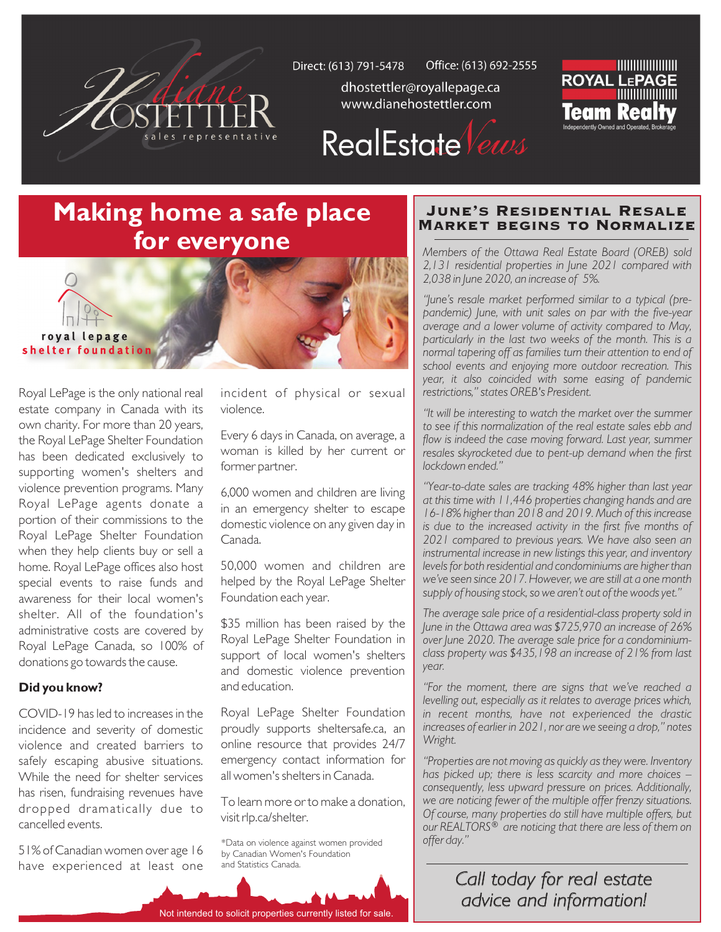

Office: (613) 692-2555 Direct: (613) 791-5478

dhostettler@royallepage.ca www.dianehostettler.com



# RealEstate Vews

## **Making home a safe place for everyone**



Royal LePage is the only national real estate company in Canada with its own charity. For more than 20 years, the Royal LePage Shelter Foundation has been dedicated exclusively to supporting women's shelters and violence prevention programs. Many Royal LePage agents donate a portion of their commissions to the Royal LePage Shelter Foundation when they help clients buy or sell a home. Royal LePage offices also host special events to raise funds and awareness for their local women's shelter. All of the foundation's administrative costs are covered by Royal LePage Canada, so 100% of donations go towards the cause.

#### **Did you know?**

COVID-19 has led to increases in the incidence and severity of domestic violence and created barriers to safely escaping abusive situations. While the need for shelter services has risen, fundraising revenues have dropped dramatically due to cancelled events.

51% of Canadian women over age 16 have experienced at least one incident of physical or sexual violence.

Every 6 days in Canada, on average, a woman is killed by her current or former partner.

6,000 women and children are living in an emergency shelter to escape domestic violence on any given day in Canada.

50,000 women and children are helped by the Royal LePage Shelter Foundation each year.

\$35 million has been raised by the Royal LePage Shelter Foundation in support of local women's shelters and domestic violence prevention and education.

Royal LePage Shelter Foundation proudly supports sheltersafe.ca, an online resource that provides 24/7 emergency contact information for all women's shelters in Canada.

To learn more or to make a donation, visit rlp.ca/shelter.

\*Data on violence against women provided by Canadian Women's Foundation and Statistics Canada.

#### June's Residential Resale Market begins to Normalize

*Members of the Ottawa Real Estate Board (OREB) sold 2,131 residential properties in June 2021 compared with 2,038 in June 2020, an increase of 5%.* 

*"June's resale market performed similar to a typical (prepandemic) June, with unit sales on par with the five-year average and a lower volume of activity compared to May, particularly in the last two weeks of the month. This is a normal tapering off as families turn their attention to end of school events and enjoying more outdoor recreation. This year, it also coincided with some easing of pandemic restrictions," states OREB's President.*

*"It will be interesting to watch the market over the summer to see if this normalization of the real estate sales ebb and*  flow is indeed the case moving forward. Last year, summer *resales skyrocketed due to pent-up demand when the first lockdown ended."* 

*"Year-to-date sales are tracking 48% higher than last year at this time with 11,446 properties changing hands and are 16-18% higher than 2018 and 2019. Much of this increase is due to the increased activity in the first five months of 2021 compared to previous years. We have also seen an instrumental increase in new listings this year, and inventory levels for both residential and condominiums are higher than we've seen since 2017. However, we are still at a one month supply of housing stock, so we aren't out of the woods yet."*

*The average sale price of a residential-class property sold in June in the Ottawa area was \$725,970 an increase of 26% over June 2020. The average sale price for a condominiumclass property was \$435,198 an increase of 21% from last year.*

*"For the moment, there are signs that we've reached a levelling out, especially as it relates to average prices which, in recent months, have not experienced the drastic increases of earlier in 2021, nor are we seeing a drop," notes Wright.*

*"Properties are not moving as quickly as they were. Inventory has picked up; there is less scarcity and more choices – consequently, less upward pressure on prices. Additionally, we are noticing fewer of the multiple offer frenzy situations. Of course, many properties do still have multiple offers, but our REALTORS® are noticing that there are less of them on offer day."*

> *Call today for real estate advice and information!*

Not intended to solicit properties currently listed for sale.